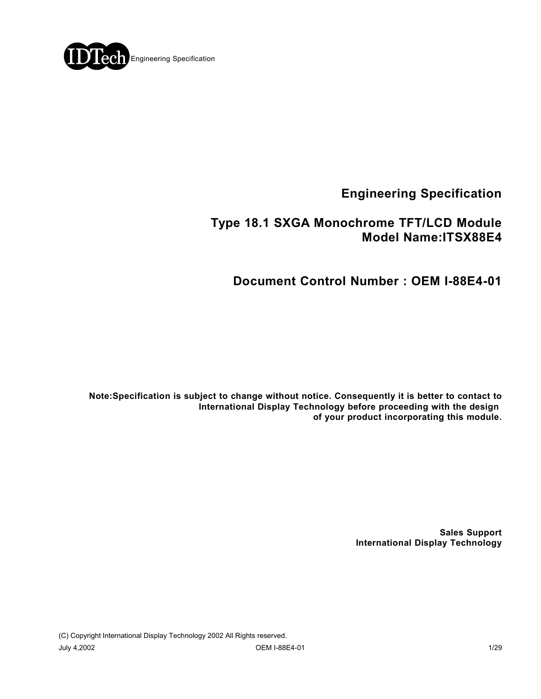

**Engineering Specification**

## **Type 18.1 SXGA Monochrome TFT/LCD Module Model Name:ITSX88E4**

**Document Control Number : OEM I-88E4-01**

**Note:Specification is subject to change without notice. Consequently it is better to contact to International Display Technology before proceeding with the design of your product incorporating this module.**

> **Sales Support International Display Technology**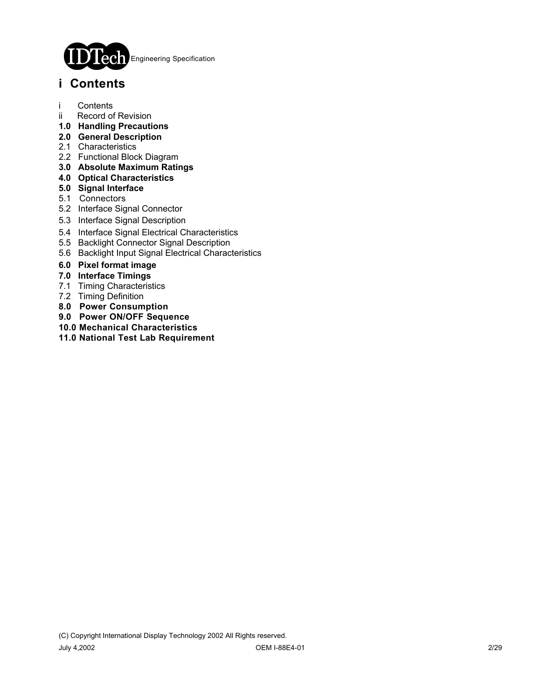

## **i Contents**

- i Contents
- ii Record of Revision
- **1.0 Handling Precautions**
- **2.0 General Description**
- 2.1 Characteristics
- 2.2 Functional Block Diagram
- **3.0 Absolute Maximum Ratings**
- **4.0 Optical Characteristics**
- **5.0 Signal Interface**
- 5.1 Connectors
- 5.2 Interface Signal Connector
- 5.3 Interface Signal Description
- 5.4 Interface Signal Electrical Characteristics
- 5.5 Backlight Connector Signal Description
- 5.6 Backlight Input Signal Electrical Characteristics
- **6.0 Pixel format image**
- **7.0 Interface Timings**
- 7.1 Timing Characteristics
- 7.2 Timing Definition
- **8.0 Power Consumption**
- **9.0 Power ON/OFF Sequence**
- **10.0 Mechanical Characteristics**
- **11.0 National Test Lab Requirement**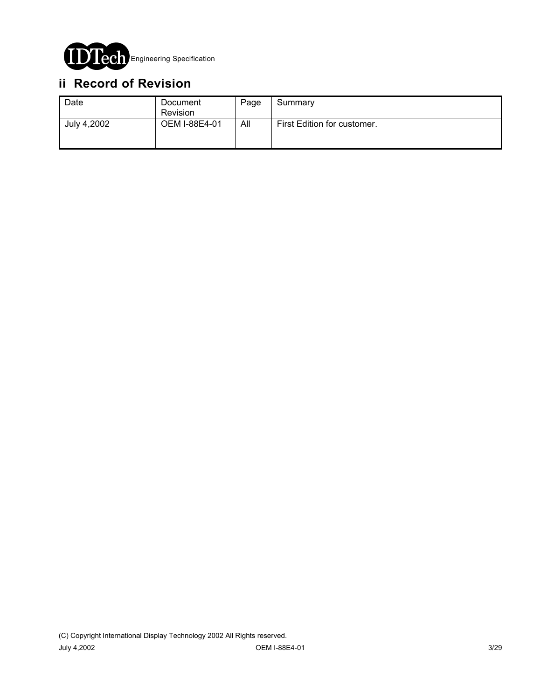

# **ii Record of Revision**

| Date        | Document<br><b>Revision</b> | Page | Summary                     |
|-------------|-----------------------------|------|-----------------------------|
| July 4,2002 | OEM I-88E4-01               | All  | First Edition for customer. |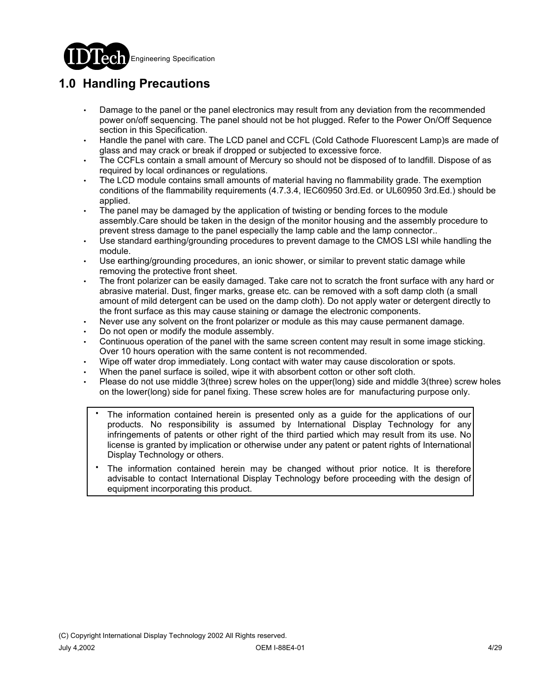

# **1.0 Handling Precautions**

- Damage to the panel or the panel electronics may result from any deviation from the recommended power on/off sequencing. The panel should not be hot plugged. Refer to the Power On/Off Sequence section in this Specification.
- Handle the panel with care. The LCD panel and CCFL (Cold Cathode Fluorescent Lamp)s are made of glass and may crack or break if dropped or subjected to excessive force.
- The CCFLs contain a small amount of Mercury so should not be disposed of to landfill. Dispose of as required by local ordinances or regulations.
- The LCD module contains small amounts of material having no flammability grade. The exemption conditions of the flammability requirements (4.7.3.4, IEC60950 3rd.Ed. or UL60950 3rd.Ed.) should be applied.
- The panel may be damaged by the application of twisting or bending forces to the module assembly.Care should be taken in the design of the monitor housing and the assembly procedure to prevent stress damage to the panel especially the lamp cable and the lamp connector..
- Use standard earthing/grounding procedures to prevent damage to the CMOS LSI while handling the module.
- Use earthing/grounding procedures, an ionic shower, or similar to prevent static damage while removing the protective front sheet.
- The front polarizer can be easily damaged. Take care not to scratch the front surface with any hard or abrasive material. Dust, finger marks, grease etc. can be removed with a soft damp cloth (a small amount of mild detergent can be used on the damp cloth). Do not apply water or detergent directly to the front surface as this may cause staining or damage the electronic components.
- Never use any solvent on the front polarizer or module as this may cause permanent damage.
- Do not open or modify the module assembly.
- Continuous operation of the panel with the same screen content may result in some image sticking. Over 10 hours operation with the same content is not recommended.
- Wipe off water drop immediately. Long contact with water may cause discoloration or spots.
- When the panel surface is soiled, wipe it with absorbent cotton or other soft cloth.
- Please do not use middle 3(three) screw holes on the upper(long) side and middle 3(three) screw holes on the lower(long) side for panel fixing. These screw holes are for manufacturing purpose only.
	- The information contained herein is presented only as a guide for the applications of our products. No responsibility is assumed by International Display Technology for any infringements of patents or other right of the third partied which may result from its use. No license is granted by implication or otherwise under any patent or patent rights of International Display Technology or others. .
	- The information contained herein may be changed without prior notice. It is therefore advisable to contact International Display Technology before proceeding with the design of equipment incorporating this product. .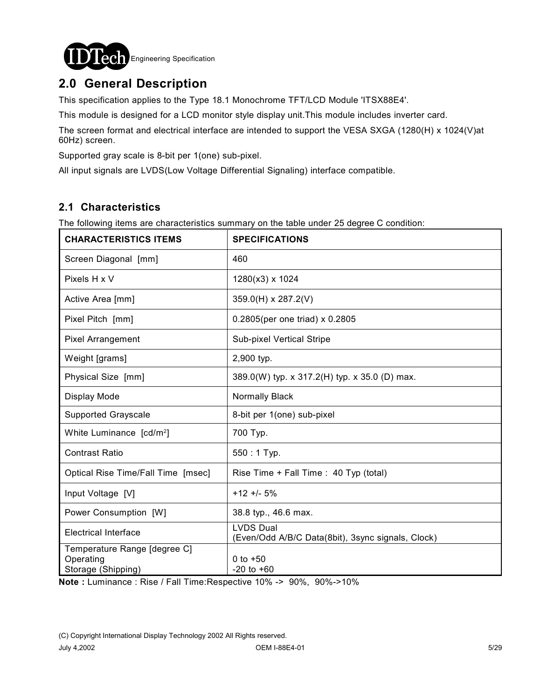

## **2.0 General Description**

This specification applies to the Type 18.1 Monochrome TFT/LCD Module 'ITSX88E4'.

This module is designed for a LCD monitor style display unit.This module includes inverter card.

The screen format and electrical interface are intended to support the VESA SXGA (1280(H) x 1024(V)at 60Hz) screen.

Supported gray scale is 8-bit per 1(one) sub-pixel.

All input signals are LVDS(Low Voltage Differential Signaling) interface compatible.

### **2.1 Characteristics**

The following items are characteristics summary on the table under 25 degree C condition:

| <b>CHARACTERISTICS ITEMS</b>                                    | <b>SPECIFICATIONS</b>                                                 |
|-----------------------------------------------------------------|-----------------------------------------------------------------------|
| Screen Diagonal [mm]                                            | 460                                                                   |
| Pixels H x V                                                    | 1280(x3) x 1024                                                       |
| Active Area [mm]                                                | 359.0(H) x 287.2(V)                                                   |
| Pixel Pitch [mm]                                                | 0.2805(per one triad) x 0.2805                                        |
| <b>Pixel Arrangement</b>                                        | Sub-pixel Vertical Stripe                                             |
| Weight [grams]                                                  | 2,900 typ.                                                            |
| Physical Size [mm]                                              | 389.0(W) typ. x 317.2(H) typ. x 35.0 (D) max.                         |
| Display Mode                                                    | Normally Black                                                        |
| <b>Supported Grayscale</b>                                      | 8-bit per 1(one) sub-pixel                                            |
| White Luminance [cd/m <sup>2</sup> ]                            | 700 Typ.                                                              |
| <b>Contrast Ratio</b>                                           | $550:1$ Typ.                                                          |
| Optical Rise Time/Fall Time [msec]                              | Rise Time + Fall Time : 40 Typ (total)                                |
| Input Voltage [V]                                               | $+12 + 5%$                                                            |
| Power Consumption [W]                                           | 38.8 typ., 46.6 max.                                                  |
| <b>Electrical Interface</b>                                     | <b>LVDS Dual</b><br>(Even/Odd A/B/C Data(8bit), 3sync signals, Clock) |
| Temperature Range [degree C]<br>Operating<br>Storage (Shipping) | 0 to $+50$<br>$-20$ to $+60$                                          |

**Note :** Luminance : Rise / Fall Time:Respective 10% -> 90%, 90%->10%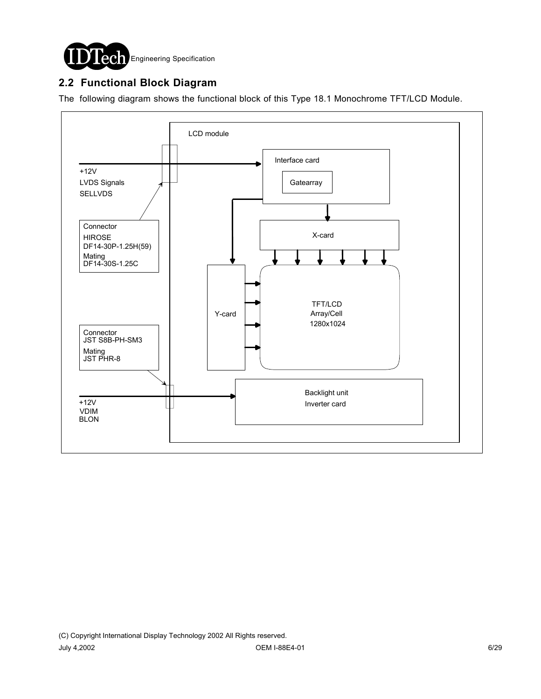

## **2.2 Functional Block Diagram**

The following diagram shows the functional block of this Type 18.1 Monochrome TFT/LCD Module.

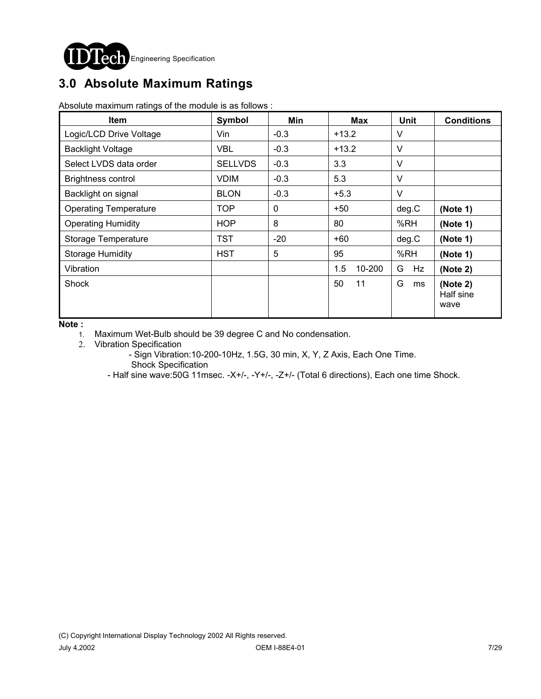

# **3.0 Absolute Maximum Ratings**

Absolute maximum ratings of the module is as follows :

| <b>Item</b>                  | Symbol         | Min    | Max           | <b>Unit</b> | <b>Conditions</b>             |
|------------------------------|----------------|--------|---------------|-------------|-------------------------------|
| Logic/LCD Drive Voltage      | Vin            | $-0.3$ | $+13.2$       | V           |                               |
| <b>Backlight Voltage</b>     | <b>VBL</b>     | $-0.3$ | $+13.2$       | V           |                               |
| Select LVDS data order       | <b>SELLVDS</b> | $-0.3$ | 3.3           | $\vee$      |                               |
| <b>Brightness control</b>    | <b>VDIM</b>    | $-0.3$ | 5.3           | $\vee$      |                               |
| Backlight on signal          | <b>BLON</b>    | $-0.3$ | $+5.3$        | $\vee$      |                               |
| <b>Operating Temperature</b> | <b>TOP</b>     | 0      | $+50$         | deg.C       | (Note 1)                      |
| <b>Operating Humidity</b>    | <b>HOP</b>     | 8      | 80            | %RH         | (Note 1)                      |
| Storage Temperature          | <b>TST</b>     | $-20$  | $+60$         | deg.C       | (Note 1)                      |
| <b>Storage Humidity</b>      | <b>HST</b>     | 5      | 95            | %RH         | (Note 1)                      |
| Vibration                    |                |        | 1.5<br>10-200 | G<br>Hz.    | (Note 2)                      |
| <b>Shock</b>                 |                |        | 50<br>11      | G<br>ms     | (Note 2)<br>Half sine<br>wave |

**Note :** 

1. Maximum Wet-Bulb should be 39 degree C and No condensation.

2. Vibration Specification

 - Sign Vibration:10-200-10Hz, 1.5G, 30 min, X, Y, Z Axis, Each One Time. Shock Specification

- Half sine wave:50G 11msec. -X+/-, -Y+/-, -Z+/- (Total 6 directions), Each one time Shock.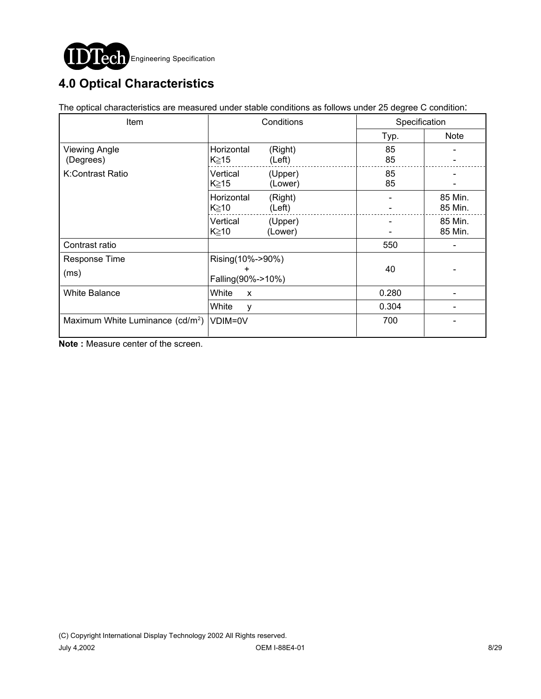

# **4.0 Optical Characteristics**

The optical characteristics are measured under stable conditions as follows under 25 degree C condition:

| Item                                         | Conditions                                 |                    | Specification |                    |
|----------------------------------------------|--------------------------------------------|--------------------|---------------|--------------------|
|                                              |                                            |                    | Typ.          | Note               |
| Viewing Angle<br>(Degrees)                   | Horizontal<br>K≧15                         | (Right)<br>(Left)  | 85<br>85      |                    |
| K:Contrast Ratio                             | Vertical<br>K≥15                           | (Upper)<br>(Lower) | 85<br>85      |                    |
|                                              | Horizontal<br>$K \geq 10$                  | (Right)<br>(Left)  |               | 85 Min.<br>85 Min. |
|                                              | Vertical<br>$K \geq 10$                    | (Upper)<br>(Lower) |               | 85 Min.<br>85 Min. |
| Contrast ratio                               |                                            |                    | 550           |                    |
| <b>Response Time</b><br>(ms)                 | Rising(10%->90%)<br>+<br>Falling(90%->10%) |                    | 40            |                    |
| <b>White Balance</b>                         | White<br>X                                 |                    | 0.280         |                    |
|                                              | White<br>v                                 |                    | 0.304         |                    |
| Maximum White Luminance (cd/m <sup>2</sup> ) | VDIM=0V                                    |                    | 700           |                    |

**Note :** Measure center of the screen.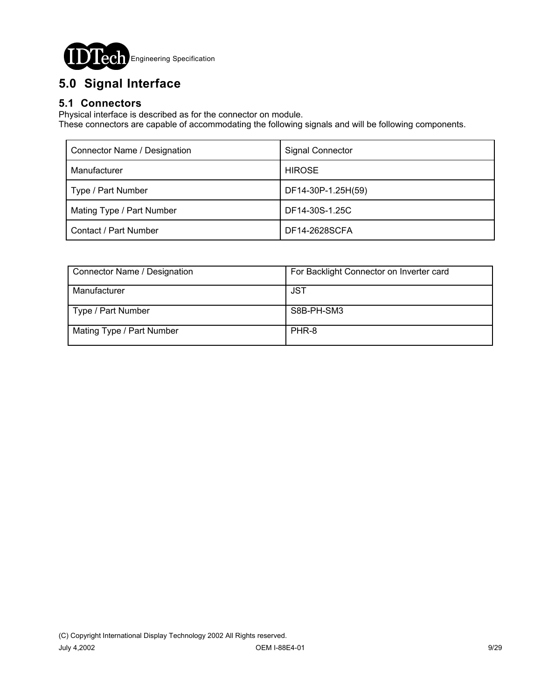

# **5.0 Signal Interface**

## **5.1 Connectors**

Physical interface is described as for the connector on module.

These connectors are capable of accommodating the following signals and will be following components.

| Connector Name / Designation | <b>Signal Connector</b> |
|------------------------------|-------------------------|
| Manufacturer                 | <b>HIROSE</b>           |
| Type / Part Number           | DF14-30P-1.25H(59)      |
| Mating Type / Part Number    | DF14-30S-1.25C          |
| Contact / Part Number        | DF14-2628SCFA           |

| Connector Name / Designation | For Backlight Connector on Inverter card |
|------------------------------|------------------------------------------|
| Manufacturer                 | JST                                      |
| Type / Part Number           | S8B-PH-SM3                               |
| Mating Type / Part Number    | PHR-8                                    |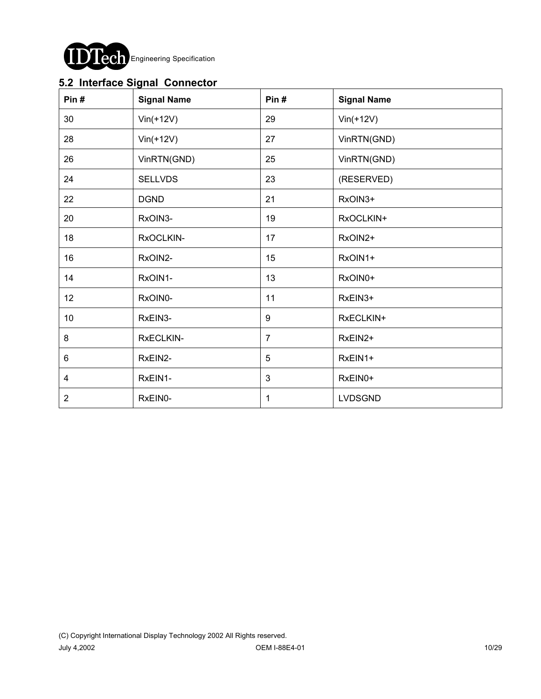

## **5.2 Interface Signal Connector**

| Pin#           | <b>Signal Name</b> | Pin#           | <b>Signal Name</b> |
|----------------|--------------------|----------------|--------------------|
| 30             | $Vin(+12V)$        | 29             | $Vin(+12V)$        |
| 28             | $Vin(+12V)$        | 27             | VinRTN(GND)        |
| 26             | VinRTN(GND)        | 25             | VinRTN(GND)        |
| 24             | <b>SELLVDS</b>     | 23             | (RESERVED)         |
| 22             | <b>DGND</b>        | 21             | RxOIN3+            |
| 20             | RxOIN3-            | 19             | RxOCLKIN+          |
| 18             | RxOCLKIN-          | 17             | RxOIN2+            |
| 16             | RxOIN2-            | 15             | RxOIN1+            |
| 14             | RxOIN1-            | 13             | RxOIN0+            |
| 12             | RxOIN0-            | 11             | RxEIN3+            |
| 10             | RxEIN3-            | 9              | RxECLKIN+          |
| 8              | RxECLKIN-          | $\overline{7}$ | RxEIN2+            |
| 6              | RxEIN2-            | 5              | RxEIN1+            |
| 4              | RxEIN1-            | $\mathbf{3}$   | RxEIN0+            |
| $\overline{2}$ | RxEIN0-            | 1              | LVDSGND            |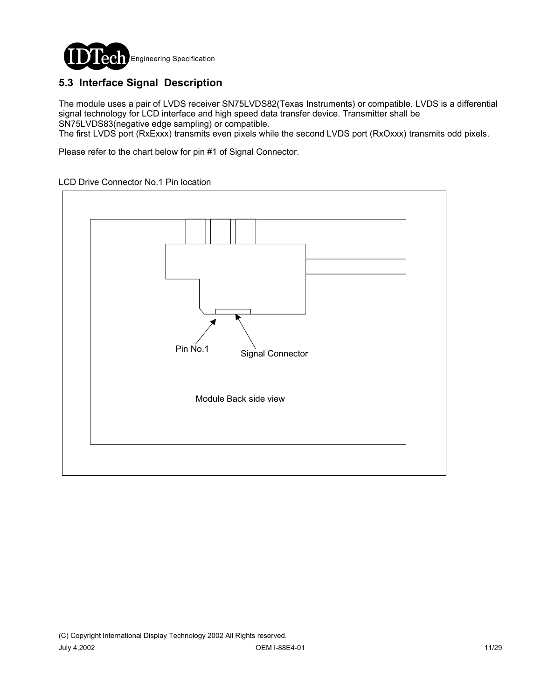

## **5.3 Interface Signal Description**

The module uses a pair of LVDS receiver SN75LVDS82(Texas Instruments) or compatible. LVDS is a differential signal technology for LCD interface and high speed data transfer device. Transmitter shall be SN75LVDS83(negative edge sampling) or compatible.

The first LVDS port (RxExxx) transmits even pixels while the second LVDS port (RxOxxx) transmits odd pixels.

Please refer to the chart below for pin #1 of Signal Connector.

#### LCD Drive Connector No.1 Pin location

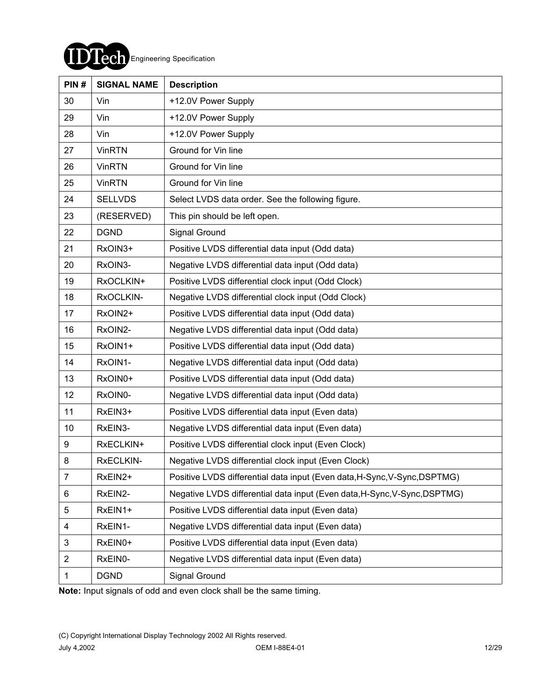

| PIN#           | <b>SIGNAL NAME</b> | <b>Description</b>                                                        |
|----------------|--------------------|---------------------------------------------------------------------------|
| 30             | Vin                | +12.0V Power Supply                                                       |
| 29             | Vin                | +12.0V Power Supply                                                       |
| 28             | Vin                | +12.0V Power Supply                                                       |
| 27             | <b>VinRTN</b>      | Ground for Vin line                                                       |
| 26             | <b>VinRTN</b>      | Ground for Vin line                                                       |
| 25             | <b>VinRTN</b>      | Ground for Vin line                                                       |
| 24             | <b>SELLVDS</b>     | Select LVDS data order. See the following figure.                         |
| 23             | (RESERVED)         | This pin should be left open.                                             |
| 22             | <b>DGND</b>        | Signal Ground                                                             |
| 21             | RxOIN3+            | Positive LVDS differential data input (Odd data)                          |
| 20             | RxOIN3-            | Negative LVDS differential data input (Odd data)                          |
| 19             | RxOCLKIN+          | Positive LVDS differential clock input (Odd Clock)                        |
| 18             | RxOCLKIN-          | Negative LVDS differential clock input (Odd Clock)                        |
| 17             | RxOIN2+            | Positive LVDS differential data input (Odd data)                          |
| 16             | RxOIN2-            | Negative LVDS differential data input (Odd data)                          |
| 15             | RxOIN1+            | Positive LVDS differential data input (Odd data)                          |
| 14             | RxOIN1-            | Negative LVDS differential data input (Odd data)                          |
| 13             | RxOIN0+            | Positive LVDS differential data input (Odd data)                          |
| 12             | RxOIN0-            | Negative LVDS differential data input (Odd data)                          |
| 11             | RxEIN3+            | Positive LVDS differential data input (Even data)                         |
| 10             | RxEIN3-            | Negative LVDS differential data input (Even data)                         |
| 9              | RxECLKIN+          | Positive LVDS differential clock input (Even Clock)                       |
| 8              | RxECLKIN-          | Negative LVDS differential clock input (Even Clock)                       |
| $\overline{7}$ | RxEIN2+            | Positive LVDS differential data input (Even data, H-Sync, V-Sync, DSPTMG) |
| 6              | RxEIN2-            | Negative LVDS differential data input (Even data, H-Sync, V-Sync, DSPTMG) |
| 5              | RxEIN1+            | Positive LVDS differential data input (Even data)                         |
| 4              | RxEIN1-            | Negative LVDS differential data input (Even data)                         |
| 3              | RxEIN0+            | Positive LVDS differential data input (Even data)                         |
| $\overline{2}$ | RxEIN0-            | Negative LVDS differential data input (Even data)                         |
| 1              | <b>DGND</b>        | Signal Ground                                                             |

**Note:** Input signals of odd and even clock shall be the same timing.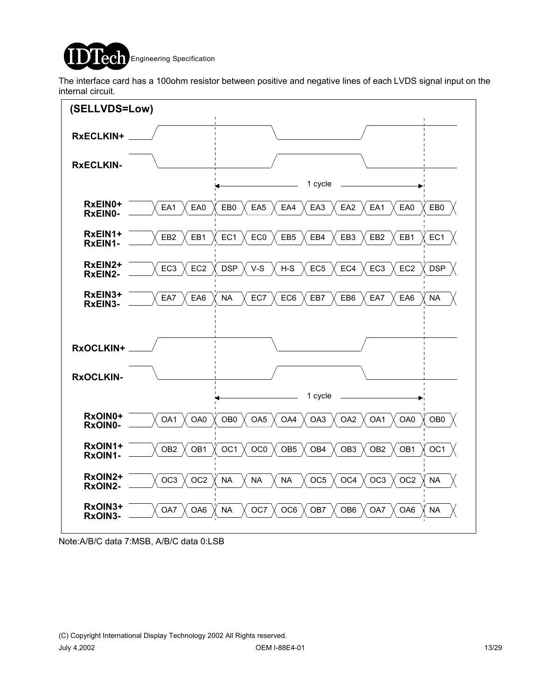

The interface card has a 100ohm resistor between positive and negative lines of each LVDS signal input on the internal circuit.



Note:A/B/C data 7:MSB, A/B/C data 0:LSB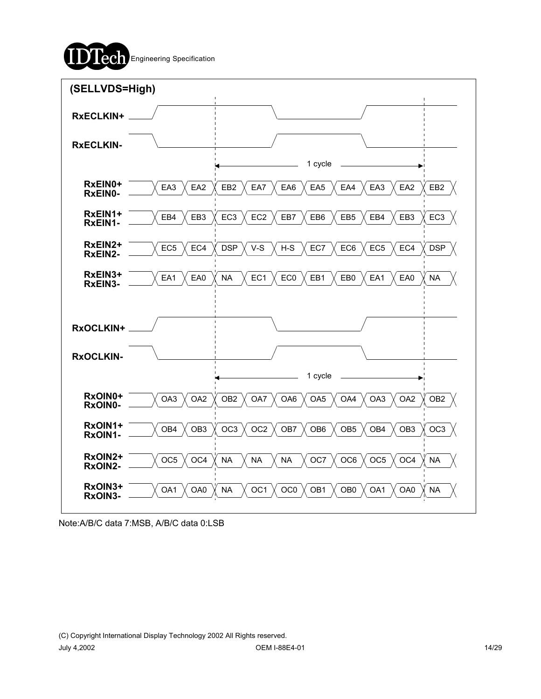



Note:A/B/C data 7:MSB, A/B/C data 0:LSB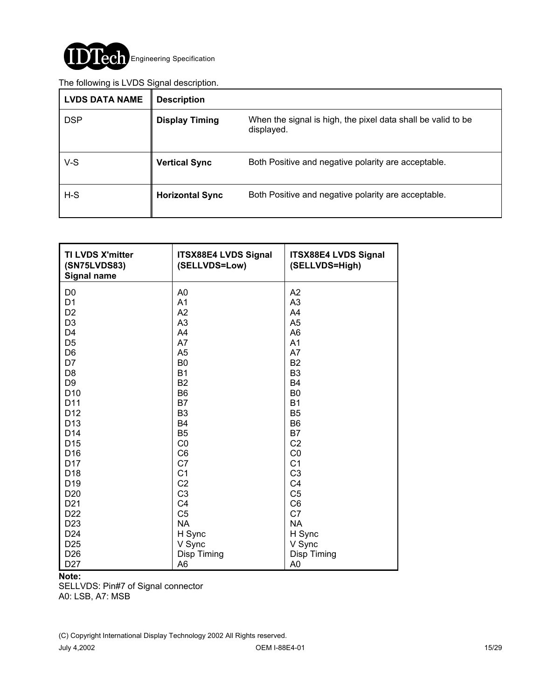

#### The following is LVDS Signal description.

| ັ<br><b>LVDS DATA NAME</b> | <b>Description</b>     |                                                                            |
|----------------------------|------------------------|----------------------------------------------------------------------------|
| <b>DSP</b>                 | <b>Display Timing</b>  | When the signal is high, the pixel data shall be valid to be<br>displayed. |
| $V-S$                      | <b>Vertical Sync</b>   | Both Positive and negative polarity are acceptable.                        |
| $H-S$                      | <b>Horizontal Sync</b> | Both Positive and negative polarity are acceptable.                        |

| <b>TI LVDS X'mitter</b><br>(SN75LVDS83)<br><b>Signal name</b> | <b>ITSX88E4 LVDS Signal</b><br>(SELLVDS=Low) | <b>ITSX88E4 LVDS Signal</b><br>(SELLVDS=High) |
|---------------------------------------------------------------|----------------------------------------------|-----------------------------------------------|
| D <sub>0</sub>                                                | A <sub>0</sub>                               | A <sub>2</sub>                                |
| D <sub>1</sub>                                                | A <sub>1</sub>                               | A3                                            |
| D <sub>2</sub>                                                | A2                                           | A4                                            |
| D <sub>3</sub>                                                | A3                                           | A <sub>5</sub>                                |
| D <sub>4</sub>                                                | A4                                           | A <sub>6</sub>                                |
| D <sub>5</sub>                                                | A7                                           | A <sub>1</sub>                                |
| D <sub>6</sub>                                                | A <sub>5</sub>                               | A7                                            |
| D7                                                            | B <sub>0</sub>                               | B <sub>2</sub>                                |
| D <sub>8</sub>                                                | <b>B1</b>                                    | B <sub>3</sub>                                |
| D <sub>9</sub>                                                | <b>B2</b>                                    | <b>B4</b>                                     |
| D <sub>10</sub>                                               | B <sub>6</sub>                               | B <sub>0</sub>                                |
| D11                                                           | <b>B7</b>                                    | <b>B1</b>                                     |
| D <sub>12</sub>                                               | B <sub>3</sub>                               | B <sub>5</sub>                                |
| D <sub>13</sub>                                               | <b>B4</b>                                    | B <sub>6</sub>                                |
| D <sub>14</sub>                                               | B <sub>5</sub>                               | B7                                            |
| D <sub>15</sub>                                               | CO                                           | C <sub>2</sub>                                |
| D <sub>16</sub>                                               | C <sub>6</sub>                               | CO                                            |
| D <sub>17</sub>                                               | C <sub>7</sub>                               | C <sub>1</sub>                                |
| D <sub>18</sub>                                               | C <sub>1</sub>                               | C <sub>3</sub>                                |
| D <sub>19</sub>                                               | C <sub>2</sub>                               | C <sub>4</sub>                                |
| D <sub>20</sub>                                               | C <sub>3</sub>                               | C <sub>5</sub>                                |
| D <sub>21</sub>                                               | C <sub>4</sub>                               | C <sub>6</sub>                                |
| D <sub>22</sub>                                               | C <sub>5</sub>                               | C7                                            |
| D <sub>23</sub>                                               | <b>NA</b>                                    | <b>NA</b>                                     |
| D <sub>24</sub>                                               | H Sync                                       | H Sync                                        |
| D <sub>25</sub>                                               | V Sync                                       | V Sync                                        |
| D <sub>26</sub>                                               | Disp Timing                                  | Disp Timing                                   |
| D <sub>27</sub>                                               | A6                                           | A <sub>0</sub>                                |

#### **Note:**

SELLVDS: Pin#7 of Signal connector A0: LSB, A7: MSB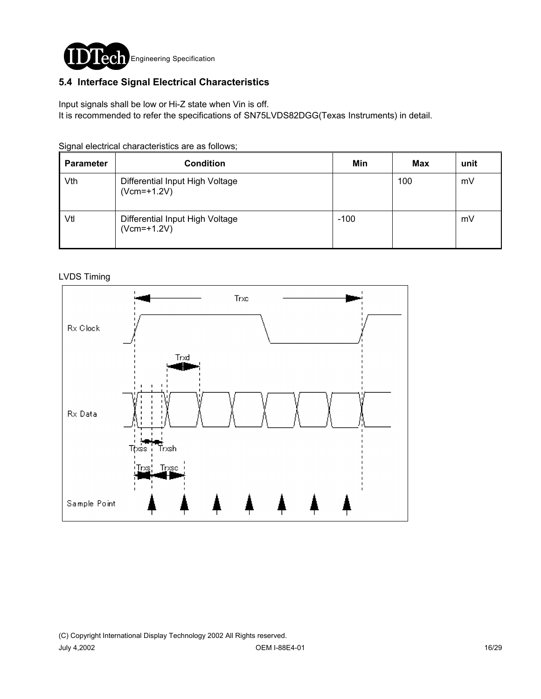

### **5.4 Interface Signal Electrical Characteristics**

Input signals shall be low or Hi-Z state when Vin is off.

It is recommended to refer the specifications of SN75LVDS82DGG(Texas Instruments) in detail.

|  | Signal electrical characteristics are as follows; |  |  |
|--|---------------------------------------------------|--|--|
|  |                                                   |  |  |

| <b>Parameter</b> | <b>Condition</b>                                 | Min    | <b>Max</b> | unit |
|------------------|--------------------------------------------------|--------|------------|------|
| Vth              | Differential Input High Voltage<br>$(Vcm=+1.2V)$ |        | 100        | mV   |
| Vtl              | Differential Input High Voltage<br>$(Vcm=+1.2V)$ | $-100$ |            | mV   |

#### LVDS Timing

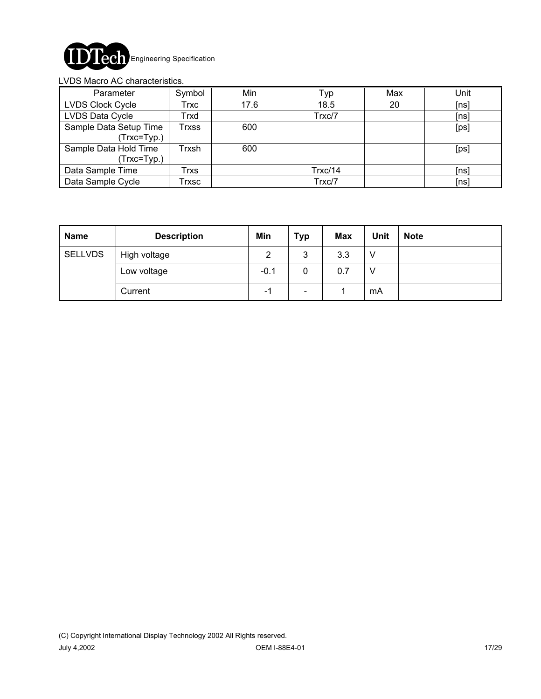

#### LVDS Macro AC characteristics.

| Parameter                              | Symbol | Min  | Typ     | Max | Unit |
|----------------------------------------|--------|------|---------|-----|------|
| <b>LVDS Clock Cycle</b>                | Trxc   | 17.6 | 18.5    | 20  | [ns] |
| LVDS Data Cycle                        | Trxd   |      | Trxc/7  |     | [ns] |
| Sample Data Setup Time<br>(Trxc=Typ.)  | Trxss  | 600  |         |     | [ps] |
| Sample Data Hold Time<br>$(Trxc=Typ.)$ | Trxsh  | 600  |         |     | [ps] |
| Data Sample Time                       | Trxs   |      | Trxc/14 |     | [ns] |
| Data Sample Cycle                      | Trxsc  |      | Trxc/7  |     | [ns] |

| <b>Name</b>    | <b>Description</b> | Min    | <b>Typ</b>                   | <b>Max</b> | <b>Unit</b> | <b>Note</b> |
|----------------|--------------------|--------|------------------------------|------------|-------------|-------------|
| <b>SELLVDS</b> | High voltage       | 2      | 3                            | 3.3        | v           |             |
|                | Low voltage        | $-0.1$ | 0                            | 0.7        | v           |             |
|                | Current            | - 1    | $\qquad \qquad \blacksquare$ |            | mA          |             |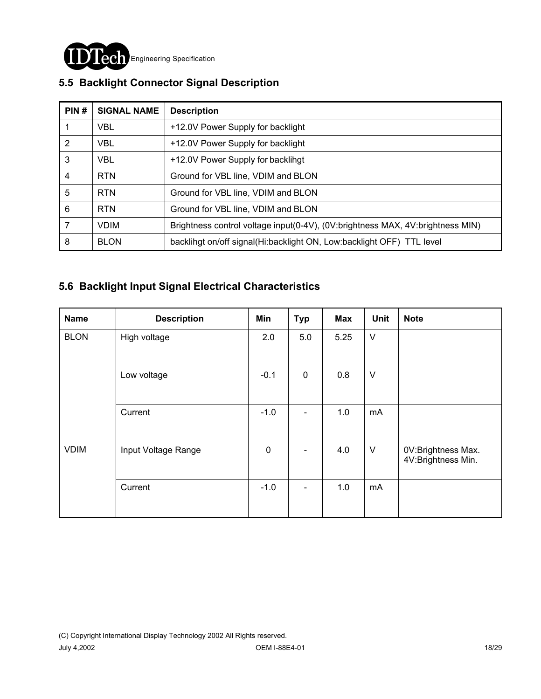

| PIN#           | <b>SIGNAL NAME</b> | <b>Description</b>                                                             |
|----------------|--------------------|--------------------------------------------------------------------------------|
|                | <b>VBL</b>         | +12.0V Power Supply for backlight                                              |
| 2              | <b>VBL</b>         | +12.0V Power Supply for backlight                                              |
| 3              | <b>VBL</b>         | +12.0V Power Supply for backlihgt                                              |
| $\overline{4}$ | <b>RTN</b>         | Ground for VBL line, VDIM and BLON                                             |
| 5              | <b>RTN</b>         | Ground for VBL line, VDIM and BLON                                             |
| 6              | <b>RTN</b>         | Ground for VBL line, VDIM and BLON                                             |
| 7              | <b>VDIM</b>        | Brightness control voltage input(0-4V), (0V:brightness MAX, 4V:brightness MIN) |
| 8              | <b>BLON</b>        | backlingt on/off signal(Hi:backlight ON, Low:backlight OFF) TTL level          |

## **5.5 Backlight Connector Signal Description**

### **5.6 Backlight Input Signal Electrical Characteristics**

| <b>Name</b> | <b>Description</b>  | Min         | <b>Typ</b>  | <b>Max</b> | Unit   | <b>Note</b>                              |
|-------------|---------------------|-------------|-------------|------------|--------|------------------------------------------|
| <b>BLON</b> | High voltage        | 2.0         | 5.0         | 5.25       | $\vee$ |                                          |
|             | Low voltage         | $-0.1$      | $\mathbf 0$ | 0.8        | $\vee$ |                                          |
|             | Current             | $-1.0$      | ۰           | 1.0        | mA     |                                          |
| <b>VDIM</b> | Input Voltage Range | $\mathbf 0$ | ٠           | 4.0        | $\vee$ | 0V:Brightness Max.<br>4V:Brightness Min. |
|             | Current             | $-1.0$      | ٠           | 1.0        | mA     |                                          |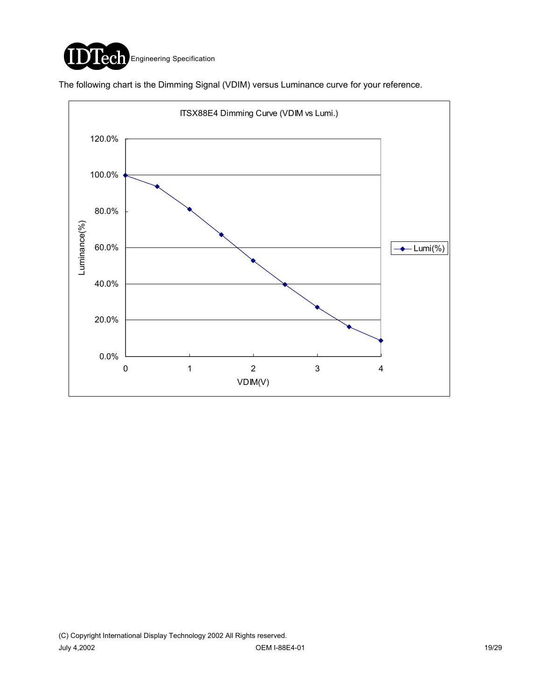

The following chart is the Dimming Signal (VDIM) versus Luminance curve for your reference.

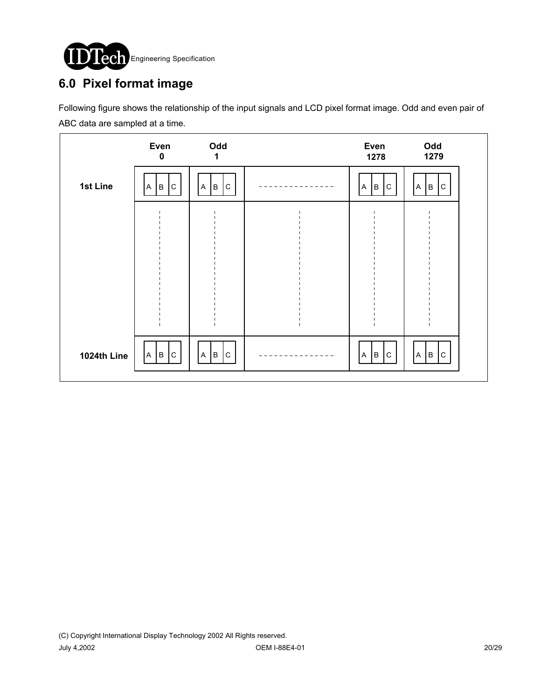

## **6.0 Pixel format image**

Following figure shows the relationship of the input signals and LCD pixel format image. Odd and even pair of ABC data are sampled at a time.

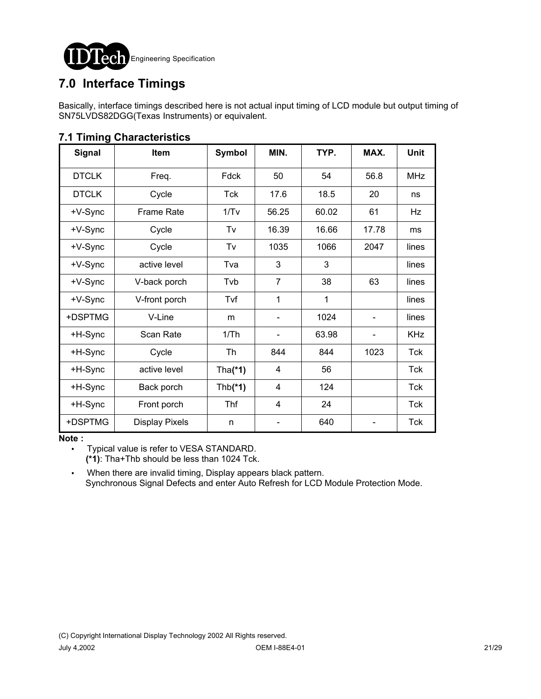

## **7.0 Interface Timings**

Basically, interface timings described here is not actual input timing of LCD module but output timing of SN75LVDS82DGG(Texas Instruments) or equivalent.

| Signal       | Item                  | <b>Symbol</b> | MIN.           | TYP.  | MAX.  | Unit       |
|--------------|-----------------------|---------------|----------------|-------|-------|------------|
| <b>DTCLK</b> | Freq.                 | Fdck          | 50             | 54    | 56.8  | <b>MHz</b> |
| <b>DTCLK</b> | Cycle                 | Tck           | 17.6           | 18.5  | 20    | ns         |
| +V-Sync      | <b>Frame Rate</b>     | 1/Tv          | 56.25          | 60.02 | 61    | Hz         |
| +V-Sync      | Cycle                 | Tv            | 16.39          | 16.66 | 17.78 | ms         |
| +V-Sync      | Cycle                 | Tv            | 1035           | 1066  | 2047  | lines      |
| +V-Sync      | active level          | Tva           | 3              | 3     |       | lines      |
| +V-Sync      | V-back porch          | Tvb           | $\overline{7}$ | 38    | 63    | lines      |
| +V-Sync      | V-front porch         | Tvf           | 1              | 1     |       | lines      |
| +DSPTMG      | V-Line                | m             |                | 1024  |       | lines      |
| +H-Sync      | Scan Rate             | 1/Th          |                | 63.98 |       | <b>KHz</b> |
| +H-Sync      | Cycle                 | Th            | 844            | 844   | 1023  | Tck        |
| +H-Sync      | active level          | Tha $(*1)$    | 4              | 56    |       | Tck        |
| +H-Sync      | Back porch            | $Thb(*1)$     | 4              | 124   |       | <b>Tck</b> |
| +H-Sync      | Front porch           | Thf           | 4              | 24    |       | Tck        |
| +DSPTMG      | <b>Display Pixels</b> | n             |                | 640   |       | <b>Tck</b> |

### **7.1 Timing Characteristics**

**Note :**

! Typical value is refer to VESA STANDARD.

**(\*1)**: Tha+Thb should be less than 1024 Tck.

. When there are invalid timing, Display appears black pattern. Synchronous Signal Defects and enter Auto Refresh for LCD Module Protection Mode.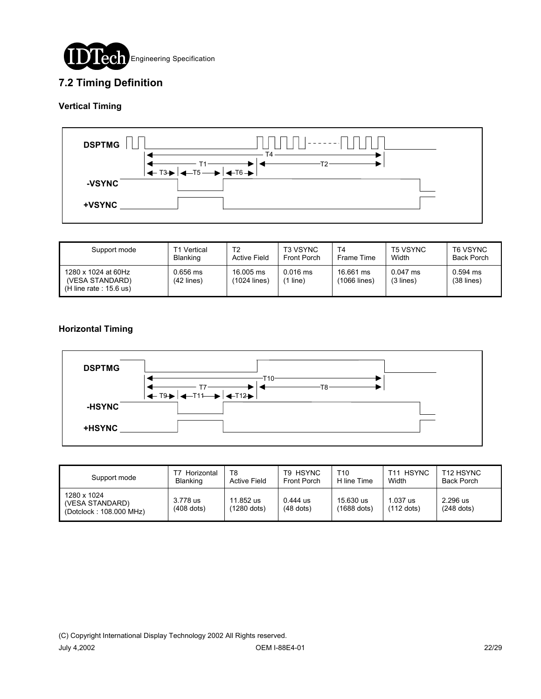

### **7.2 Timing Definition**

#### **Vertical Timing**



| Support mode                                                        | T1 Vertical              | T2                        | <b>T3 VSYNC</b>     | T4                        | <b>T5 VSYNC</b>         | T6 VSYNC                   |
|---------------------------------------------------------------------|--------------------------|---------------------------|---------------------|---------------------------|-------------------------|----------------------------|
|                                                                     | <b>Blanking</b>          | <b>Active Field</b>       | <b>Front Porch</b>  | Frame Time                | Width                   | <b>Back Porch</b>          |
| 1280 x 1024 at 60Hz<br>(VESA STANDARD)<br>$(H$ line rate : 15.6 us) | 0.656 ms<br>$(42$ lines) | 16,005 ms<br>(1024 lines) | $0.016$ ms<br>line) | 16.661 ms<br>(1066 lines) | $0.047$ ms<br>(3 lines) | $0.594$ ms<br>$(38$ lines) |

#### **Horizontal Timing**



| Support mode                                              | Horizontal<br><b>Blanking</b> | T8<br><b>Active Field</b> | T9 HSYNC<br>Front Porch   | T10<br>H line Time         | <b>HSYNC</b><br>T11<br>Width | T <sub>12</sub> HSYNC<br><b>Back Porch</b> |
|-----------------------------------------------------------|-------------------------------|---------------------------|---------------------------|----------------------------|------------------------------|--------------------------------------------|
| 1280 x 1024<br>(VESA STANDARD)<br>(Dotclock: 108.000 MHz) | 3.778 us<br>$(408$ dots)      | 11.852 us<br>(1280 dots)  | $0.444$ us<br>$(48$ dots) | 15.630 us<br>$(1688$ dots) | .037 us<br>$(112$ dots)      | 2.296 us<br>$(248$ dots)                   |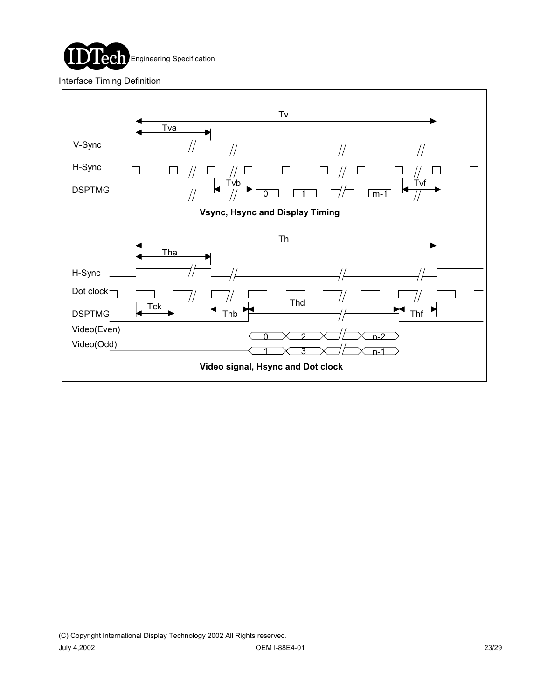

Interface Timing Definition

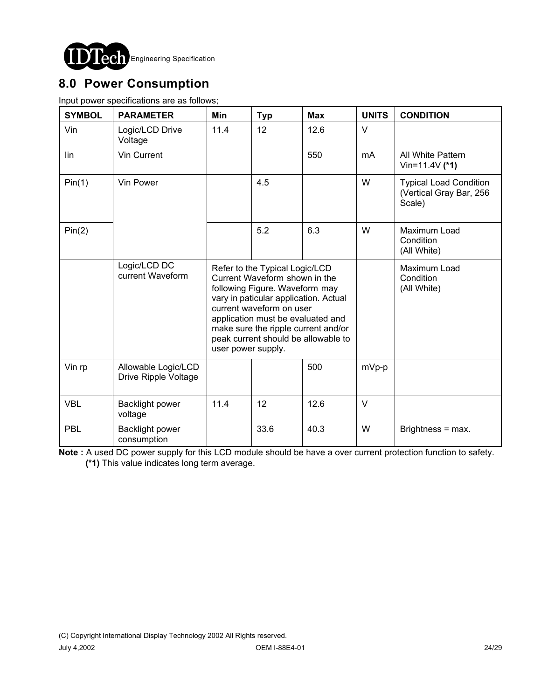

## **8.0 Power Consumption**

Input power specifications are as follows;

| <b>SYMBOL</b> | <b>PARAMETER</b>                            | <b>Min</b>                                                                                                                                                                                                                                                                                                      | <b>Typ</b> | <b>Max</b> | <b>UNITS</b> | <b>CONDITION</b>                                                   |
|---------------|---------------------------------------------|-----------------------------------------------------------------------------------------------------------------------------------------------------------------------------------------------------------------------------------------------------------------------------------------------------------------|------------|------------|--------------|--------------------------------------------------------------------|
| Vin           | Logic/LCD Drive<br>Voltage                  | 11.4                                                                                                                                                                                                                                                                                                            | 12         | 12.6       | $\vee$       |                                                                    |
| lin           | Vin Current                                 |                                                                                                                                                                                                                                                                                                                 |            | 550        | mA           | All White Pattern<br>Vin=11.4V $($ *1)                             |
| Pin(1)        | Vin Power                                   |                                                                                                                                                                                                                                                                                                                 | 4.5        |            | W            | <b>Typical Load Condition</b><br>(Vertical Gray Bar, 256<br>Scale) |
| Pin(2)        |                                             |                                                                                                                                                                                                                                                                                                                 | 5.2        | 6.3        | W            | Maximum Load<br>Condition<br>(All White)                           |
|               | Logic/LCD DC<br>current Waveform            | Refer to the Typical Logic/LCD<br>Current Waveform shown in the<br>following Figure. Waveform may<br>vary in paticular application. Actual<br>current waveform on user<br>application must be evaluated and<br>make sure the ripple current and/or<br>peak current should be allowable to<br>user power supply. |            |            |              | Maximum Load<br>Condition<br>(All White)                           |
| Vin rp        | Allowable Logic/LCD<br>Drive Ripple Voltage |                                                                                                                                                                                                                                                                                                                 |            | 500        | mVp-p        |                                                                    |
| <b>VBL</b>    | <b>Backlight power</b><br>voltage           | 11.4                                                                                                                                                                                                                                                                                                            | 12         | 12.6       | $\vee$       |                                                                    |
| PBL           | <b>Backlight power</b><br>consumption       |                                                                                                                                                                                                                                                                                                                 | 33.6       | 40.3       | W            | Brightness = max.                                                  |

**Note :** A used DC power supply for this LCD module should be have a over current protection function to safety. **(\*1)** This value indicates long term average.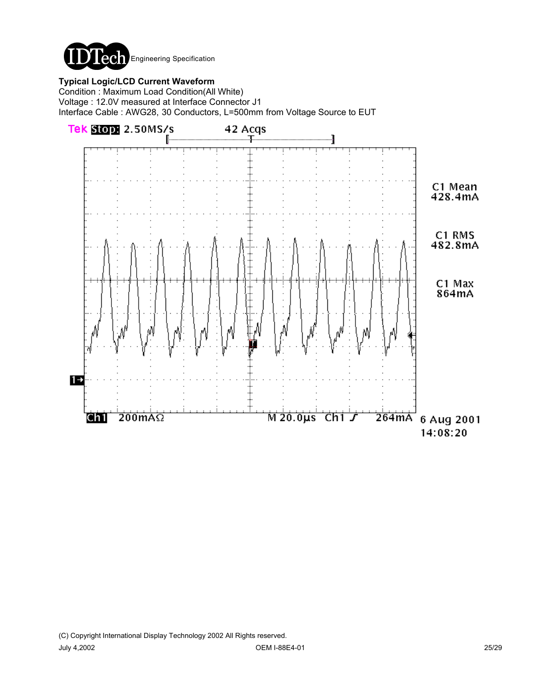

### **Typical Logic/LCD Current Waveform**

Condition : Maximum Load Condition(All White) Voltage : 12.0V measured at Interface Connector J1 Interface Cable : AWG28, 30 Conductors, L=500mm from Voltage Source to EUT

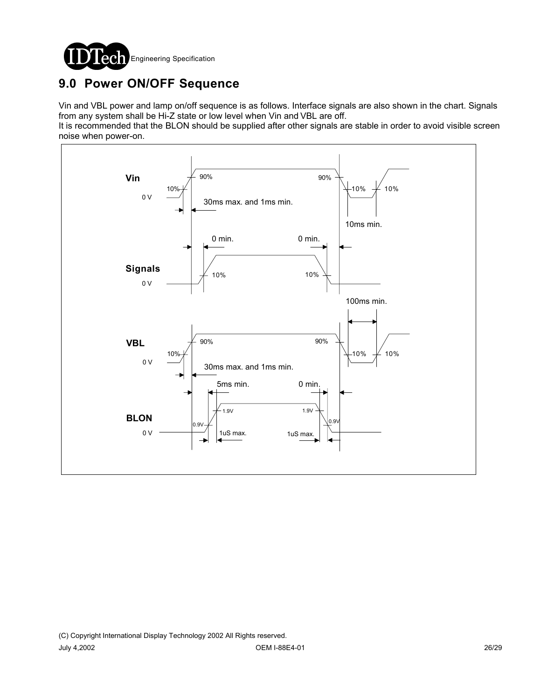

# **9.0 Power ON/OFF Sequence**

Vin and VBL power and lamp on/off sequence is as follows. Interface signals are also shown in the chart. Signals from any system shall be Hi-Z state or low level when Vin and VBL are off.

It is recommended that the BLON should be supplied after other signals are stable in order to avoid visible screen noise when power-on.

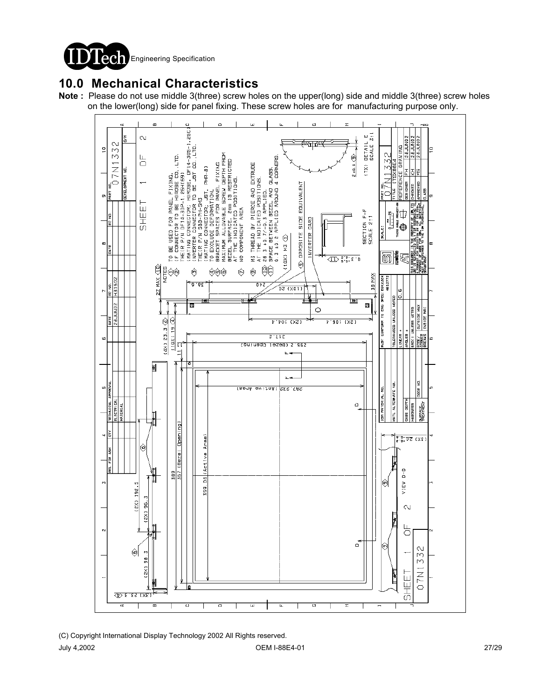

## **10.0 Mechanical Characteristics**

**Note :** Please do not use middle 3(three) screw holes on the upper(long) side and middle 3(three) screw holes on the lower(long) side for panel fixing. These screw holes are for manufacturing purpose only.



<sup>(</sup>C) Copyright International Display Technology 2002 All Rights reserved. July 4,2002 OEM I-88E4-01 27/29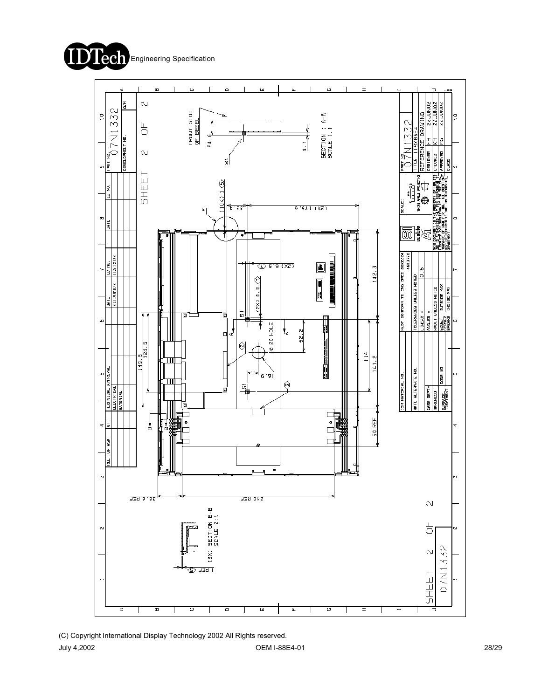